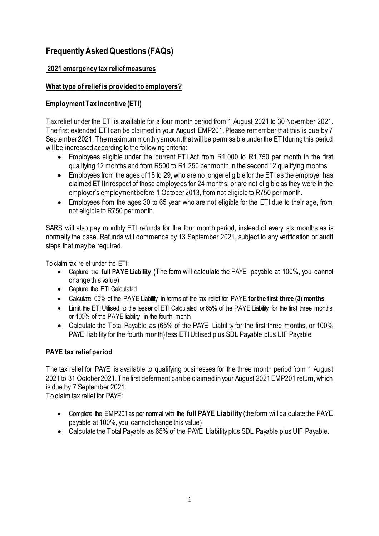# **Frequently Asked Questions (FAQs)**

#### **2021 emergency tax relief measures**

## **What type of relief is provided to employers?**

#### **Employment Tax Incentive (ETI)**

Tax relief under the ETI is available for a four month period from 1 August 2021 to 30 November 2021. The first extended ETI can be claimed in your August EMP201. Please remember that this is due by 7 September 2021. The maximum monthly amount that will be permissible under the ETI during this period will be increased according to the following criteria:

- Employees eligible under the current ETI Act from R1 000 to R1 750 per month in the first qualifying 12 months and from R500 to R1 250 per month in the second 12 qualifying months.
- Employees from the ages of 18 to 29, who are no longer eligible for the ETI as the employer has claimed ETI in respect of those employees for 24 months, or are not eligible as they were in the employer's employment before 1 October 2013, from not eligible to R750 per month.
- Employees from the ages 30 to 65 year who are not eligible for the ETI due to their age, from not eligible to R750 per month.

SARS will also pay monthly ETI refunds for the four month period, instead of every six months as is normally the case. Refunds will commence by 13 September 2021, subject to any verification or audit steps that may be required.

To claim tax relief under the ETI:

- Capture the **full PAYE Liability (**The form will calculate the PAYE payable at 100%, you cannot change this value)
- Capture the ETI Calculated
- Calculate 65% of the PAYE Liability in terms of the tax relief for PAYE **for the first three (3) months**
- Limit the ETI Utilised to the lesser of ETI Calculated or 65% of the PAYE Liability for the first three months or 100% of the PAYE liability in the fourth month
- Calculate the Total Payable as (65% of the PAYE Liability for the first three months, or 100% PAYE liability for the fourth month) less ETI Utilised plus SDL Payable plus UIF Payable

### **PAYE tax relief period**

The tax relief for PAYE is available to qualifying businesses for the three month period from 1 August 2021 to 31 October 2021. The first deferment can be claimed in your August 2021 EMP201 return, which is due by 7 September 2021.

To claim tax relief for PAYE:

- Complete the EMP201 as per normal with the **full PAYE Liability** (the form will calculate the PAYE payable at 100%, you cannot change this value)
- Calculate the Total Payable as 65% of the PAYE Liability plus SDL Payable plus UIF Payable.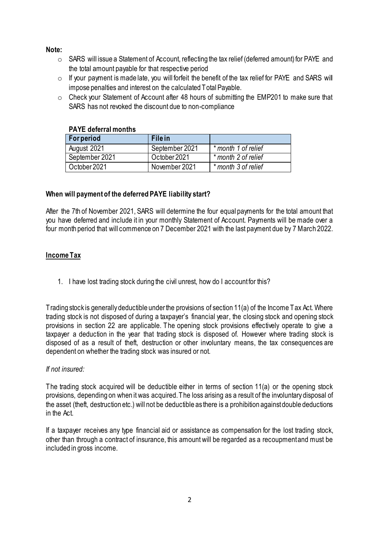#### **Note:**

- o SARS will issue a Statement of Account, reflecting the tax relief (deferred amount) for PAYE and the total amount payable for that respective period
- $\circ$  If your payment is made late, you will forfeit the benefit of the tax relief for PAYE and SARS will impose penalties and interest on the calculated Total Payable.
- o Check your Statement of Account after 48 hours of submitting the EMP201 to make sure that SARS has not revoked the discount due to non-compliance

| <u>FAIL UCIGHAI IIIUIIUI 3</u> |                |                     |
|--------------------------------|----------------|---------------------|
| <b>For period</b>              | File in        |                     |
| August 2021                    | September 2021 | * month 1 of relief |
| September 2021                 | October 2021   | * month 2 of relief |
| October 2021                   | November 2021  | * month 3 of relief |

#### **PAYE deferral months**

#### **When will payment of the deferred PAYE liability start?**

After the 7th of November 2021, SARS will determine the four equal payments for the total amount that you have deferred and include it in your monthly Statement of Account. Payments will be made over a four month period that will commence on 7 December 2021 with the last payment due by 7 March 2022.

# **Income Tax**

1. I have lost trading stock during the civil unrest, how do I account for this?

Trading stock is generally deductible under the provisions of section 11(a) of the Income Tax Act. Where trading stock is not disposed of during a taxpayer's financial year, the closing stock and opening stock provisions in section 22 are applicable. The opening stock provisions effectively operate to give a taxpayer a deduction in the year that trading stock is disposed of. However where trading stock is disposed of as a result of theft, destruction or other involuntary means, the tax consequences are dependent on whether the trading stock was insured or not.

### *If not insured:*

The trading stock acquired will be deductible either in terms of section 11(a) or the opening stock provisions, depending on when it was acquired. The loss arising as a result of the involuntary disposal of the asset (theft, destruction etc.) will not be deductible as there is a prohibition against double deductions in the Act.

If a taxpayer receives any type financial aid or assistance as compensation for the lost trading stock, other than through a contract of insurance, this amount will be regarded as a recoupment and must be included in gross income.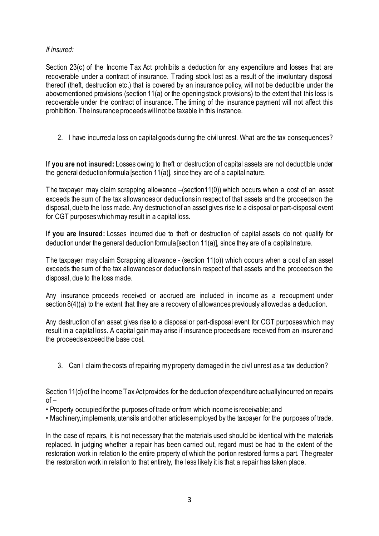### *If insured:*

Section 23(c) of the Income Tax Act prohibits a deduction for any expenditure and losses that are recoverable under a contract of insurance. Trading stock lost as a result of the involuntary disposal thereof (theft, destruction etc.) that is covered by an insurance policy, will not be deductible under the abovementioned provisions (section 11(a) or the opening stock provisions) to the extent that this loss is recoverable under the contract of insurance. The timing of the insurance payment will not affect this prohibition. The insurance proceeds will not be taxable in this instance.

2. I have incurred a loss on capital goods during the civil unrest. What are the tax consequences?

**If you are not insured:** Losses owing to theft or destruction of capital assets are not deductible under the general deduction formula [section 11(a)], since they are of a capital nature.

The taxpayer may claim scrapping allowance –(section11(0)) which occurs when a cost of an asset exceeds the sum of the tax allowances or deductions in respect of that assets and the proceeds on the disposal, due to the loss made. Any destruction of an asset gives rise to a disposal or part-disposal event for CGT purposes which may result in a capital loss.

**If you are insured:** Losses incurred due to theft or destruction of capital assets do not qualify for deduction under the general deduction formula [section 11(a)], since they are of a capital nature.

The taxpayer may claim Scrapping allowance - (section 11(o)) which occurs when a cost of an asset exceeds the sum of the tax allowances or deductions in respect of that assets and the proceeds on the disposal, due to the loss made.

Any insurance proceeds received or accrued are included in income as a recoupment under section 8(4)(a) to the extent that they are a recovery of allowances previously allowed as a deduction.

Any destruction of an asset gives rise to a disposal or part-disposal event for CGT purposes which may result in a capital loss. A capital gain may arise if insurance proceeds are received from an insurer and the proceeds exceed the base cost.

3. Can I claim the costs of repairing my property damaged in the civil unrest as a tax deduction?

Section 11(d) of the Income Tax Act provides for the deduction of expenditure actually incurred on repairs  $of -$ 

- Property occupied for the purposes of trade or from which income is receivable; and
- Machinery, implements, utensils and other articles employed by the taxpayer for the purposes of trade.

In the case of repairs, it is not necessary that the materials used should be identical with the materials replaced. In judging whether a repair has been carried out, regard must be had to the extent of the restoration work in relation to the entire property of which the portion restored forms a part. The greater the restoration work in relation to that entirety, the less likely it is that a repair has taken place.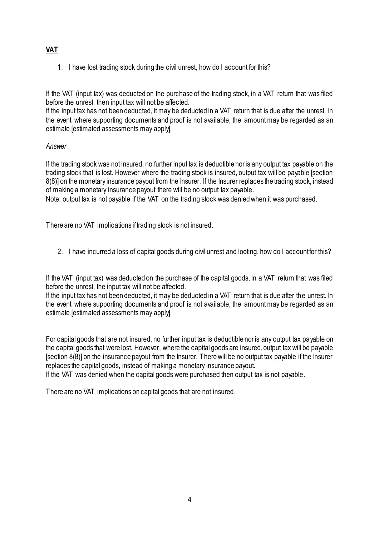# **VAT**

1. I have lost trading stock during the civil unrest, how do I account for this?

If the VAT (input tax) was deducted on the purchase of the trading stock, in a VAT return that was filed before the unrest, then input tax will not be affected.

If the input tax has not been deducted, it may be deducted in a VAT return that is due after the unrest. In the event where supporting documents and proof is not available, the amount may be regarded as an estimate [estimated assessments may apply].

### *Answer*

If the trading stock was not insured, no further input tax is deductible nor is any output tax payable on the trading stock that is lost. However where the trading stock is insured, output tax will be payable [section 8(8)] on the monetary insurance payout from the Insurer. If the Insurer replaces the trading stock, instead of making a monetary insurance payout there will be no output tax payable.

Note: output tax is not payable if the VAT on the trading stock was denied when it was purchased.

There are no VAT implications if trading stock is not insured.

2. I have incurred a loss of capital goods during civil unrest and looting, how do I account for this?

If the VAT (input tax) was deducted on the purchase of the capital goods, in a VAT return that was filed before the unrest, the input tax will not be affected.

If the input tax has not been deducted, it may be deducted in a VAT return that is due after the unrest. In the event where supporting documents and proof is not available, the amount may be regarded as an estimate [estimated assessments may apply].

For capital goods that are not insured, no further input tax is deductible nor is any output tax payable on the capital goods that were lost. However, where the capital goods are insured, output tax will be payable [section 8(8)] on the insurance payout from the Insurer. There will be no output tax payable if the Insurer replaces the capital goods, instead of making a monetary insurance payout.

If the VAT was denied when the capital goods were purchased then output tax is not payable.

There are no VAT implications on capital goods that are not insured.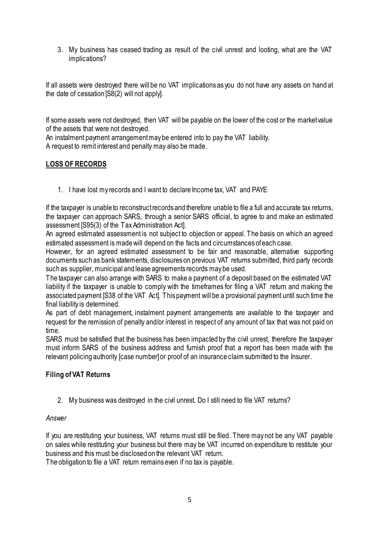3. My business has ceased trading as result of the civil unrest and looting, what are the VAT implications?

If all assets were destroyed there will be no VAT implications as you do not have any assets on hand at the date of cessation [S8(2) will not apply].

If some assets were not destroyed, then VAT will be payable on the lower of the cost or the market value of the assets that were not destroyed.

An instalment payment arrangement may be entered into to pay the VAT liability. A request to remit interest and penalty may also be made.

# **LOSS OF RECORDS**

1. I have lost my records and I want to declare Income tax, VAT and PAYE

If the taxpayer is unable to reconstruct records and therefore unable to file a full and accurate tax returns, the taxpayer can approach SARS, through a senior SARS official, to agree to and make an estimated assessment [S95(3) of the Tax Administration Act].

An agreed estimated assessment is not subject to objection or appeal. The basis on which an agreed estimated assessment is made will depend on the facts and circumstances of each case.

However, for an agreed estimated assessment to be fair and reasonable, alternative supporting documents such as bank statements, disclosures on previous VAT returns submitted, third party records such as supplier, municipal and lease agreements records may be used.

The taxpayer can also arrange with SARS to make a payment of a deposit based on the estimated VAT liability if the taxpayer is unable to comply with the timeframes for filing a VAT return and making the associated payment [S38 of the VAT Act]. This payment will be a provisional payment until such time the final liability is determined.

As part of debt management, instalment payment arrangements are available to the taxpayer and request for the remission of penalty and/or interest in respect of any amount of tax that was not paid on time.

SARS must be satisfied that the business has been impacted by the civil unrest, therefore the taxpayer must inform SARS of the business address and furnish proof that a report has been made with the relevant policing authority [case number] or proof of an insurance claim submitted to the Insurer.

### **Filing of VAT Returns**

2. My business was destroyed in the civil unrest. Do I still need to file VAT returns?

### *Answer*

If you are restituting your business, VAT returns must still be filed. There may not be any VAT payable on sales while restituting your business but there may be VAT incurred on expenditure to restitute your business and this must be disclosed on the relevant VAT return.

The obligation to file a VAT return remains even if no tax is payable.